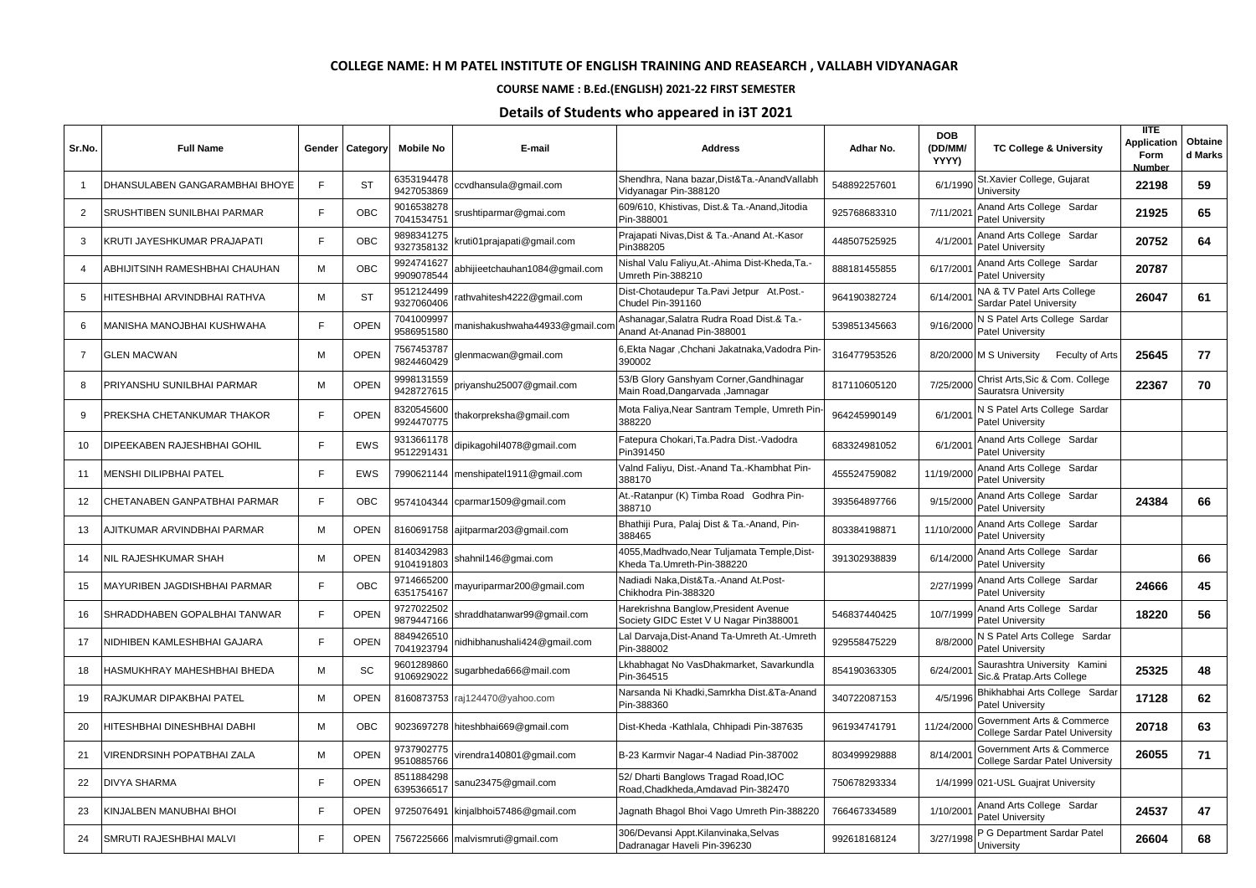## **COLLEGE NAME: H M PATEL INSTITUTE OF ENGLISH TRAINING AND REASEARCH , VALLABH VIDYANAGAR**

## **COURSE NAME : B.Ed.(ENGLISH) 2021-22 FIRST SEMESTER**

## **Details of Students who appeared in i3T 2021**

| Sr.No.         | <b>Full Name</b>               | Gender | Category    | <b>Mobile No</b>         | E-mail                         | <b>Address</b>                                                                  | Adhar No.    | <b>DOB</b><br>(DD/MM/<br><b>YYYY)</b> | <b>TC College &amp; University</b>                                   | <b>IITE</b><br><b>Application</b><br>Form<br>Number | Obtaine<br>d Marks |
|----------------|--------------------------------|--------|-------------|--------------------------|--------------------------------|---------------------------------------------------------------------------------|--------------|---------------------------------------|----------------------------------------------------------------------|-----------------------------------------------------|--------------------|
| $\mathbf{1}$   | DHANSULABEN GANGARAMBHAI BHOYE | E      | <b>ST</b>   | 6353194478<br>9427053869 | ccvdhansula@gmail.com          | Shendhra, Nana bazar,Dist&Ta.-AnandVallabh<br>Vidyanagar Pin-388120             | 548892257601 | 6/1/1990                              | St.Xavier College, Gujarat<br>University                             | 22198                                               | 59                 |
| 2              | SRUSHTIBEN SUNILBHAI PARMAR    | E      | OBC         | 9016538278<br>7041534751 | srushtiparmar@gmai.com         | 609/610, Khistivas, Dist.& Ta.-Anand, Jitodia<br>Pin-388001                     | 925768683310 | 7/11/202 <sup>-</sup>                 | Anand Arts College Sardar<br><b>Patel University</b>                 | 21925                                               | 65                 |
| 3              | KRUTI JAYESHKUMAR PRAJAPATI    | E      | OBC         | 9898341275<br>9327358132 | kruti01prajapati@gmail.com     | Prajapati Nivas, Dist & Ta.-Anand At.-Kasor<br>Pin388205                        | 448507525925 | 4/1/200                               | Anand Arts College Sardar<br><b>Patel University</b>                 | 20752                                               | 64                 |
| 4              | ABHIJITSINH RAMESHBHAI CHAUHAN | M      | <b>OBC</b>  | 9924741627<br>9909078544 | abhijieetchauhan1084@gmail.com | Nishal Valu Faliyu, At.-Ahima Dist-Kheda, Ta.-<br>Umreth Pin-388210             | 888181455855 | 6/17/200                              | Anand Arts College Sardar<br><b>Patel University</b>                 | 20787                                               |                    |
| 5              | HITESHBHAI ARVINDBHAI RATHVA   | M      | <b>ST</b>   | 9512124499<br>9327060406 | athvahitesh4222@gmail.com      | Dist-Chotaudepur Ta.Pavi Jetpur At.Post.-<br>Chudel Pin-391160                  | 964190382724 | 6/14/200                              | NA & TV Patel Arts College<br>Sardar Patel University                | 26047                                               | 61                 |
| 6              | MANISHA MANOJBHAI KUSHWAHA     | E      | OPEN        | 7041009997<br>9586951580 | manishakushwaha44933@gmail.con | Ashanagar, Salatra Rudra Road Dist.& Ta.-<br>Anand At-Ananad Pin-388001         | 539851345663 | 9/16/2000                             | N S Patel Arts College Sardar<br><b>Patel University</b>             |                                                     |                    |
| $\overline{7}$ | <b>GLEN MACWAN</b>             | M      | OPEN        | 7567453787<br>9824460429 | glenmacwan@gmail.com           | 6,Ekta Nagar ,Chchani Jakatnaka,Vadodra Pin-<br>390002                          | 316477953526 |                                       | 8/20/2000 M S University<br>Feculty of Arts                          | 25645                                               | 77                 |
| 8              | PRIYANSHU SUNILBHAI PARMAR     | M      | OPEN        | 9998131559<br>9428727615 | priyanshu25007@gmail.com       | 53/B Glory Ganshyam Corner, Gandhinagar<br>Main Road,Dangarvada ,Jamnagar       | 817110605120 | 7/25/2000                             | Christ Arts, Sic & Com. College<br>Sauratsra University              | 22367                                               | 70                 |
| 9              | PREKSHA CHETANKUMAR THAKOR     | F      | OPEN        | 8320545600<br>9924470775 | thakorpreksha@gmail.com        | Mota Faliya, Near Santram Temple, Umreth Pin-<br>388220                         | 964245990149 | 6/1/200                               | N S Patel Arts College Sardar<br><b>Patel University</b>             |                                                     |                    |
| 10             | DIPEEKABEN RAJESHBHAI GOHIL    | E      | <b>EWS</b>  | 9313661178<br>9512291431 | dipikagohil4078@gmail.com      | Fatepura Chokari, Ta. Padra Dist. - Vadodra<br>Pin391450                        | 683324981052 | 6/1/200                               | Anand Arts College Sardar<br><b>Patel University</b>                 |                                                     |                    |
| 11             | MENSHI DILIPBHAI PATEL         | E      | <b>EWS</b>  | 7990621144               | menshipatel1911@gmail.com      | Valnd Faliyu, Dist.-Anand Ta.-Khambhat Pin-<br>388170                           | 455524759082 | 11/19/200                             | Anand Arts College Sardar<br><b>Patel University</b>                 |                                                     |                    |
| 12             | CHETANABEN GANPATBHAI PARMAR   | E      | OBC         | 9574104344               | cparmar1509@gmail.com          | At.-Ratanpur (K) Timba Road Godhra Pin-<br>388710                               | 393564897766 | 9/15/2000                             | Anand Arts College Sardar<br><b>Patel University</b>                 | 24384                                               | 66                 |
| 13             | AJITKUMAR ARVINDBHAI PARMAR    | M      | <b>OPEN</b> | 8160691758               | ajitparmar203@gmail.com        | Bhathiji Pura, Palaj Dist & Ta.-Anand, Pin-<br>388465                           | 803384198871 | 11/10/2000                            | Anand Arts College Sardar<br><b>Patel University</b>                 |                                                     |                    |
| 14             | NIL RAJESHKUMAR SHAH           | M      | OPEN        | 8140342983<br>9104191803 | shahnil146@gmai.com            | 4055, Madhvado, Near Tuljamata Temple, Dist-<br>Kheda Ta.Umreth-Pin-388220      | 391302938839 | 6/14/200                              | Anand Arts College Sardar<br><b>Patel University</b>                 |                                                     | 66                 |
| 15             | MAYURIBEN JAGDISHBHAI PARMAR   | E      | <b>OBC</b>  | 9714665200<br>6351754167 | mayuriparmar200@gmail.com      | Nadiadi Naka.Dist&Ta.-Anand At.Post-<br>Chikhodra Pin-388320                    |              | 2/27/1999                             | Anand Arts College Sardar<br><b>Patel University</b>                 | 24666                                               | 45                 |
| 16             | SHRADDHABEN GOPALBHAI TANWAR   | E      | OPEN        | 9727022502<br>9879447166 | shraddhatanwar99@gmail.com     | Harekrishna Banglow, President Avenue<br>Society GIDC Estet V U Nagar Pin388001 | 546837440425 | 10/7/1999                             | Anand Arts College Sardar<br><b>Patel University</b>                 | 18220                                               | 56                 |
| 17             | NIDHIBEN KAMLESHBHAI GAJARA    | F      | <b>OPEN</b> | 8849426510<br>7041923794 | nidhibhanushali424@gmail.com   | Lal Darvaja, Dist-Anand Ta-Umreth At.-Umreth<br>Pin-388002                      | 929558475229 | 8/8/2000                              | N S Patel Arts College Sardar<br>Patel University                    |                                                     |                    |
| 18             | HASMUKHRAY MAHESHBHAI BHEDA    | M      | SC          | 9601289860<br>9106929022 | sugarbheda666@mail.com         | Lkhabhagat No VasDhakmarket, Savarkundla<br>Pin-364515                          | 854190363305 | 6/24/200                              | Saurashtra University Kamini<br>Sic.& Pratap.Arts College            | 25325                                               | 48                 |
| 19             | RAJKUMAR DIPAKBHAI PATEL       | M      | <b>OPEN</b> | 8160873753               | raj124470@yahoo.com            | Narsanda Ni Khadki,Samrkha Dist.&Ta-Anand<br>Pin-388360                         | 340722087153 | 4/5/1996                              | Bhikhabhai Arts College Sardar<br><b>Patel University</b>            | 17128                                               | 62                 |
| 20             | HITESHBHAI DINESHBHAI DABHI    | M      | <b>OBC</b>  | 9023697278               | hiteshbhai669@gmail.com        | Dist-Kheda -Kathlala, Chhipadi Pin-387635                                       | 961934741791 | 11/24/200                             | Government Arts & Commerce<br><b>College Sardar Patel University</b> | 20718                                               | 63                 |
| 21             | VIRENDRSINH POPATBHAI ZALA     | M      | <b>OPEN</b> | 9737902775<br>9510885766 | virendra140801@gmail.com       | B-23 Karmvir Nagar-4 Nadiad Pin-387002                                          | 803499929888 | 8/14/200                              | Government Arts & Commerce<br><b>College Sardar Patel University</b> | 26055                                               | 71                 |
| 22             | <b>DIVYA SHARMA</b>            | E      | OPEN        | 8511884298<br>6395366517 | sanu23475@gmail.com            | 52/ Dharti Banglows Tragad Road, IOC<br>Road, Chadkheda, Amdavad Pin-382470     | 750678293334 |                                       | 1/4/1999 021-USL Guajrat University                                  |                                                     |                    |
| 23             | KINJALBEN MANUBHAI BHOI        | E      | <b>OPEN</b> | 9725076491               | kinjalbhoi57486@gmail.com      | Jagnath Bhagol Bhoi Vago Umreth Pin-388220                                      | 766467334589 | 1/10/200                              | Anand Arts College Sardar<br><b>Patel University</b>                 | 24537                                               | 47                 |
| 24             | SMRUTI RAJESHBHAI MALVI        |        | <b>OPEN</b> | 7567225666               | malvismruti@gmail.com          | 306/Devansi Appt.Kilanvinaka,Selvas<br>Dadranagar Haveli Pin-396230             | 992618168124 | 3/27/1998                             | P G Department Sardar Patel<br>University                            | 26604                                               | 68                 |